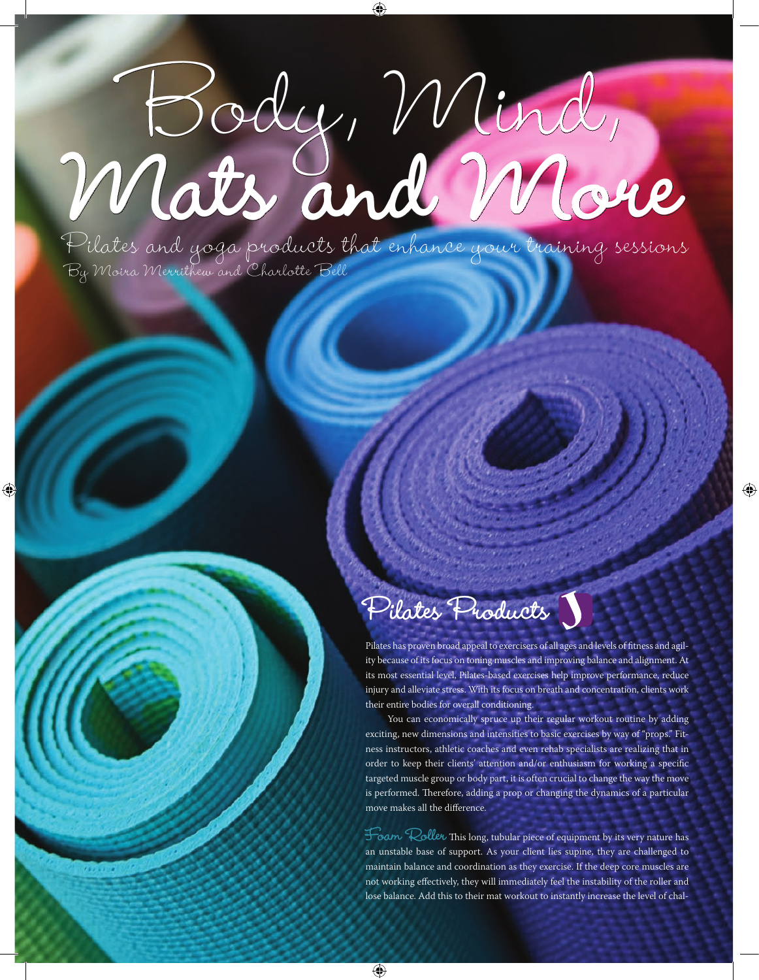# Body, Mind, Mats and More

◈

By Moira Merrithew and Charlotte Bell Pilates and yoga products that enhance your training sessions

## **Pilates Products**

Pilates has proven broad appeal to exercisers of all ages and levels of fitness and agility because of its focus on toning muscles and improving balance and alignment. At its most essential level, Pilates-based exercises help improve performance, reduce injury and alleviate stress. With its focus on breath and concentration, clients work their entire bodies for overall conditioning.

⊕

You can economically spruce up their regular workout routine by adding exciting, new dimensions and intensities to basic exercises by way of "props." Fitness instructors, athletic coaches and even rehab specialists are realizing that in order to keep their clients' attention and/or enthusiasm for working a specific targeted muscle group or body part, it is often crucial to change the way the move is performed. Therefore, adding a prop or changing the dynamics of a particular move makes all the difference.

**Foam Roller** This long, tubular piece of equipment by its very nature has an unstable base of support. As your client lies supine, they are challenged to maintain balance and coordination as they exercise. If the deep core muscles are not working effectively, they will immediately feel the instability of the roller and lose balance. Add this to their mat workout to instantly increase the level of chal-

⊕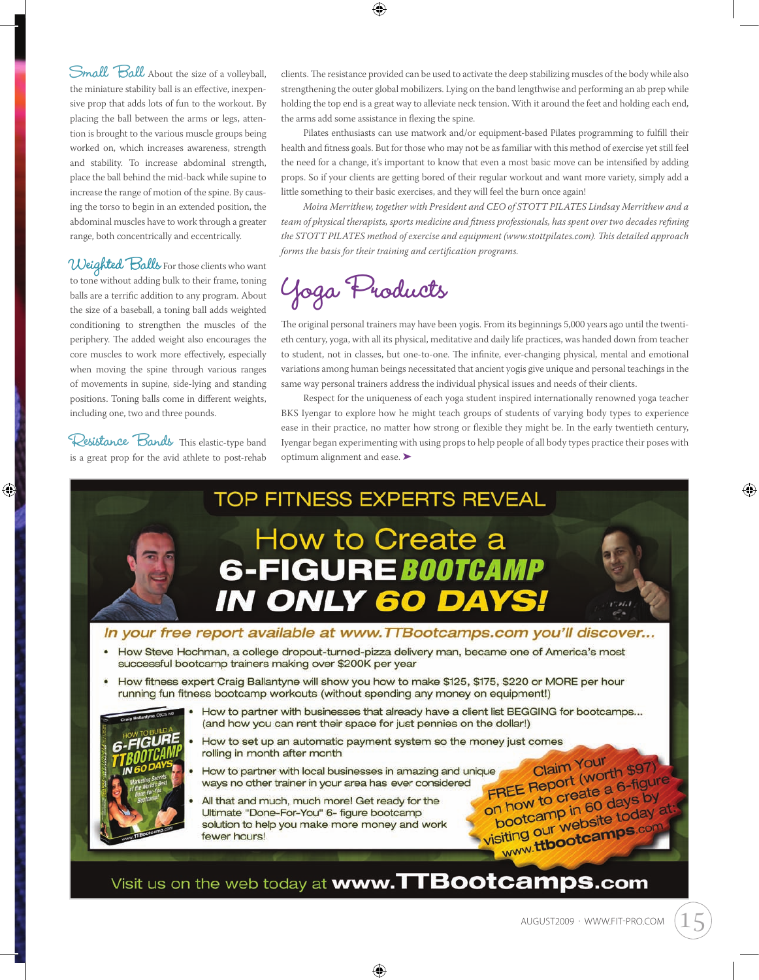Small Ball About the size of a volleyball, the miniature stability ball is an effective, inexpensive prop that adds lots of fun to the workout. By placing the ball between the arms or legs, attention is brought to the various muscle groups being worked on, which increases awareness, strength and stability. To increase abdominal strength, place the ball behind the mid-back while supine to increase the range of motion of the spine. By causing the torso to begin in an extended position, the abdominal muscles have to work through a greater range, both concentrically and eccentrically.

**Weighted Balls** For those clients who want to tone without adding bulk to their frame, toning balls are a terrific addition to any program. About the size of a baseball, a toning ball adds weighted conditioning to strengthen the muscles of the periphery. The added weight also encourages the core muscles to work more effectively, especially when moving the spine through various ranges of movements in supine, side-lying and standing positions. Toning balls come in different weights, including one, two and three pounds.

**Resistance Bands** This elastic-type band is a great prop for the avid athlete to post-rehab

⊕

clients. The resistance provided can be used to activate the deep stabilizing muscles of the body while also strengthening the outer global mobilizers. Lying on the band lengthwise and performing an ab prep while holding the top end is a great way to alleviate neck tension. With it around the feet and holding each end, the arms add some assistance in flexing the spine.

Pilates enthusiasts can use matwork and/or equipment-based Pilates programming to fulfill their health and fitness goals. But for those who may not be as familiar with this method of exercise yet still feel the need for a change, it's important to know that even a most basic move can be intensified by adding props. So if your clients are getting bored of their regular workout and want more variety, simply add a little something to their basic exercises, and they will feel the burn once again!

*Moira Merrithew, together with President and CEO of STOTT PILATES Lindsay Merrithew and a team of physical therapists, sports medicine and fitness professionals, has spent over two decades refining the STOTT PILATES method of exercise and equipment (www.stottpilates.com). This detailed approach forms the basis for their training and certification programs.*

## **Yoga Products**

The original personal trainers may have been yogis. From its beginnings 5,000 years ago until the twentieth century, yoga, with all its physical, meditative and daily life practices, was handed down from teacher to student, not in classes, but one-to-one. The infinite, ever-changing physical, mental and emotional variations among human beings necessitated that ancient yogis give unique and personal teachings in the same way personal trainers address the individual physical issues and needs of their clients.

Respect for the uniqueness of each yoga student inspired internationally renowned yoga teacher BKS Iyengar to explore how he might teach groups of students of varying body types to experience ease in their practice, no matter how strong or flexible they might be. In the early twentieth century, Iyengar began experimenting with using props to help people of all body types practice their poses with optimum alignment and ease. ➤



Visit us on the web today at www.TTBootcamps.com

⊕

august2009 · www.fit-pro.com 15

♠